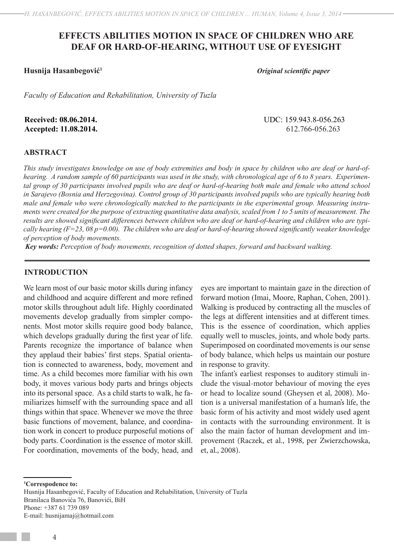# **EFFECTS ABILITIES MOTION IN SPACE OF CHILDREN WHO ARE DEAF OR HARD-OF-HEARING, WITHOUT USE OF EYESIGHT**

**Husnija Hasanbegović<sup>1</sup>**

*Original scientific paper*

*Faculty of Education and Rehabilitation, University of Tuzla*

**Received: 08.06.2014.** UDC: 159.943.8-056.263

**Accepted: 11.08.2014.** 612.766-056.263

### **ABSTRACT**

*This study investigates knowledge on use of body extremities and body in space by children who are deaf or hard-ofhearing. A random sample of 60 participants was used in the study, with chronological age of 6 to 8 years. Experimen*tal group of 30 participants involved pupils who are deaf or hard-of-hearing both male and female who attend school *in Sarajevo (Bosnia and Herzegovina). Control group of 30 participants involved pupils who are typically hearing both male and female who were chronologically matched to the participants in the experimental group. Measuring instruments were created for the purpose of extracting quantitative data analysis, scaled from 1 to 5 units of measurement. The*  results are showed significant differences between children who are deaf or hard-of-hearing and children who are typi*cally hearing (F=23, 08 p=0.00). The children who are deaf or hard-of-hearing showed significantly weaker knowledge of perception of body movements.* 

*Key words: Perception of body movements, recognition of dotted shapes, forward and backward walking.* 

### **INTRODUCTION**

We learn most of our basic motor skills during infancy and childhood and acquire different and more refined motor skills throughout adult life. Highly coordinated movements develop gradually from simpler components. Most motor skills require good body balance, which develops gradually during the first year of life. Parents recognize the importance of balance when they applaud their babies' first steps. Spatial orientation is connected to awareness, body, movement and time. As a child becomes more familiar with his own body, it moves various body parts and brings objects into its personal space. As a child starts to walk, he familiarizes himself with the surrounding space and all things within that space. Whenever we move the three basic functions of movement, balance, and coordination work in concert to produce purposeful motions of body parts. Coordination is the essence of motor skill. For coordination, movements of the body, head, and

eyes are important to maintain gaze in the direction of forward motion (Imai, Moore, Raphan, Cohen, 2001). Walking is produced by contracting all the muscles of the legs at different intensities and at different times. This is the essence of coordination, which applies equally well to muscles, joints, and whole body parts. Superimposed on coordinated movements is our sense of body balance, which helps us maintain our posture in response to gravity.

The infant's earliest responses to auditory stimuli include the visual-motor behaviour of moving the eyes or head to localize sound (Gheysen et al, 2008). Motion is a universal manifestation of a human's life, the basic form of his activity and most widely used agent in contacts with the surrounding environment. It is also the main factor of human development and improvement (Raczek, et al., 1998, per Zwierzchowska, et, al., 2008).

**1 Correspodence to:**

Husnija Hasanbegović, Faculty of Education and Rehabilitation, University of Tuzla Branilaca Banovića 76, Banovići, BiH Phone: +387 61 739 089 E-mail: husnijamaj@hotmail.com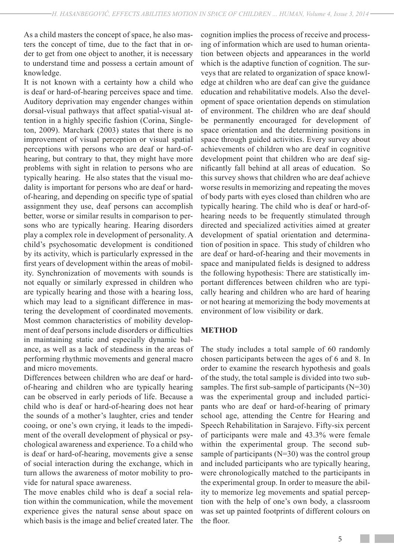As a child masters the concept of space, he also masters the concept of time, due to the fact that in order to get from one object to another, it is necessary to understand time and possess a certain amount of knowledge.

It is not known with a certainty how a child who is deaf or hard-of-hearing perceives space and time. Auditory deprivation may engender changes within dorsal-visual pathways that affect spatial-visual attention in a highly specific fashion (Corina, Singleton, 2009). Marchark (2003) states that there is no improvement of visual perception or visual spatial perceptions with persons who are deaf or hard-ofhearing, but contrary to that, they might have more problems with sight in relation to persons who are typically hearing. He also states that the visual modality is important for persons who are deaf or hardof-hearing, and depending on specific type of spatial assignment they use, deaf persons can accomplish better, worse or similar results in comparison to persons who are typically hearing. Hearing disorders play a complex role in development of personality. A child's psychosomatic development is conditioned by its activity, which is particularly expressed in the first years of development within the areas of mobility. Synchronization of movements with sounds is not equally or similarly expressed in children who are typically hearing and those with a hearing loss, which may lead to a significant difference in mastering the development of coordinated movements. Most common characteristics of mobility development of deaf persons include disorders or difficulties in maintaining static and especially dynamic balance, as well as a lack of steadiness in the areas of performing rhythmic movements and general macro and micro movements.

Differences between children who are deaf or hardof-hearing and children who are typically hearing can be observed in early periods of life. Because a child who is deaf or hard-of-hearing does not hear the sounds of a mother's laughter, cries and tender cooing, or one's own crying, it leads to the impediment of the overall development of physical or psychological awareness and experience. To a child who is deaf or hard-of-hearing, movements give a sense of social interaction during the exchange, which in turn allows the awareness of motor mobility to provide for natural space awareness.

The move enables child who is deaf a social relation within the communication, while the movement experience gives the natural sense about space on which basis is the image and belief created later. The cognition implies the process of receive and processing of information which are used to human orientation between objects and appearances in the world which is the adaptive function of cognition. The surveys that are related to organization of space knowledge at children who are deaf can give the guidance education and rehabilitative models. Also the development of space orientation depends on stimulation of environment. The children who are deaf should be permanently encouraged for development of space orientation and the determining positions in space through guided activities. Every survey about achievements of children who are deaf in cognitive development point that children who are deaf significantly fall behind at all areas of education. So this survey shows that children who are deaf achieve worse results in memorizing and repeating the moves of body parts with eyes closed than children who are typically hearing. The child who is deaf or hard-ofhearing needs to be frequently stimulated through directed and specialized activities aimed at greater development of spatial orientation and determination of position in space. This study of children who are deaf or hard-of-hearing and their movements in space and manipulated fields is designed to address the following hypothesis: There are statistically important differences between children who are typically hearing and children who are hard of hearing or not hearing at memorizing the body movements at environment of low visibility or dark.

## **METHOD**

The study includes a total sample of 60 randomly chosen participants between the ages of 6 and 8. In order to examine the research hypothesis and goals of the study, the total sample is divided into two subsamples. The first sub-sample of participants  $(N=30)$ was the experimental group and included participants who are deaf or hard-of-hearing of primary school age, attending the Centre for Hearing and Speech Rehabilitation in Sarajevo. Fifty-six percent of participants were male and 43.3% were female within the experimental group. The second subsample of participants (N=30) was the control group and included participants who are typically hearing, were chronologically matched to the participants in the experimental group. In order to measure the ability to memorize leg movements and spatial perception with the help of one's own body, a classroom was set up painted footprints of different colours on the floor.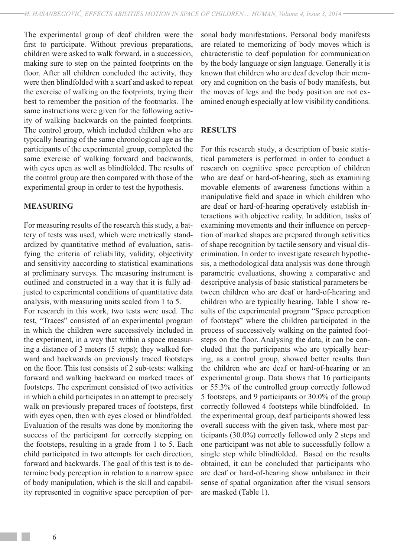The experimental group of deaf children were the first to participate. Without previous preparations, children were asked to walk forward, in a succession, making sure to step on the painted footprints on the floor. After all children concluded the activity, they were then blindfolded with a scarf and asked to repeat the exercise of walking on the footprints, trying their best to remember the position of the footmarks. The same instructions were given for the following activity of walking backwards on the painted footprints. The control group, which included children who are typically hearing of the same chronological age as the participants of the experimental group, completed the same exercise of walking forward and backwards, with eyes open as well as blindfolded. The results of the control group are then compared with those of the experimental group in order to test the hypothesis.

## **MEASURING**

For measuring results of the research this study, a battery of tests was used, which were metrically standardized by quantitative method of evaluation, satisfying the criteria of reliability, validity, objectivity and sensitivity aaccording to statistical examinations at preliminary surveys. The measuring instrument is outlined and constructed in a way that it is fully adjusted to experimental conditions of quantitative data analysis, with measuring units scaled from 1 to 5.

For research in this work, two tests were used. The test, "Traces" consisted of an experimental program in which the children were successively included in the experiment, in a way that within a space measuring a distance of 3 meters (5 steps); they walked forward and backwards on previously traced footsteps on the floor. This test consists of 2 sub-tests: walking forward and walking backward on marked traces of footsteps. The experiment consisted of two activities in which a child participates in an attempt to precisely walk on previously prepared traces of footsteps, first with eyes open, then with eyes closed or blindfolded. Evaluation of the results was done by monitoring the success of the participant for correctly stepping on the footsteps, resulting in a grade from 1 to 5. Each child participated in two attempts for each direction, forward and backwards. The goal of this test is to determine body perception in relation to a narrow space of body manipulation, which is the skill and capability represented in cognitive space perception of personal body manifestations. Personal body manifests are related to memorizing of body moves which is characteristic to deaf population for communication by the body language or sign language. Generally it is known that children who are deaf develop their memory and cognition on the basis of body manifests, but the moves of legs and the body position are not examined enough especially at low visibility conditions.

## **RESULTS**

For this research study, a description of basic statistical parameters is performed in order to conduct a research on cognitive space perception of children who are deaf or hard-of-hearing, such as examining movable elements of awareness functions within a manipulative field and space in which children who are deaf or hard-of-hearing operatively establish interactions with objective reality. In addition, tasks of examining movements and their influence on perception of marked shapes are prepared through activities of shape recognition by tactile sensory and visual discrimination. In order to investigate research hypothesis, a methodological data analysis was done through parametric evaluations, showing a comparative and descriptive analysis of basic statistical parameters between children who are deaf or hard-of-hearing and children who are typically hearing. Table 1 show results of the experimental program "Space perception of footsteps" where the children participated in the process of successively walking on the painted footsteps on the floor. Analysing the data, it can be concluded that the participants who are typically hearing, as a control group, showed better results than the children who are deaf or hard-of-hearing or an experimental group. Data shows that 16 participants or 55.3% of the controlled group correctly followed 5 footsteps, and 9 participants or 30.0% of the group correctly followed 4 footsteps while blindfolded. In the experimental group, deaf participants showed less overall success with the given task, where most participants (30.0%) correctly followed only 2 steps and one participant was not able to successfully follow a single step while blindfolded. Based on the results obtained, it can be concluded that participants who are deaf or hard-of-hearing show unbalance in their sense of spatial organization after the visual sensors are masked (Table 1).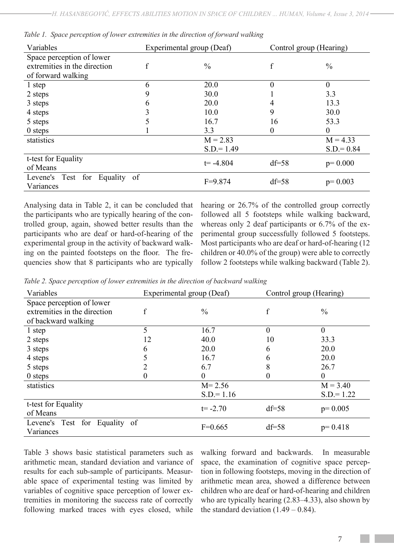| Variables                                         | Experimental group (Deaf) |               | Control group (Hearing) |               |  |
|---------------------------------------------------|---------------------------|---------------|-------------------------|---------------|--|
| Space perception of lower                         |                           |               |                         |               |  |
| extremities in the direction                      | f                         | $\frac{0}{0}$ | f                       | $\frac{0}{0}$ |  |
| of forward walking                                |                           |               |                         |               |  |
| 1 step                                            | 6                         | 20.0          | 0                       | $\theta$      |  |
| 2 steps                                           | 9                         | 30.0          |                         | 3.3           |  |
| 3 steps                                           | 6                         | 20.0          |                         | 13.3          |  |
| 4 steps                                           | 3                         | 10.0          | 9                       | 30.0          |  |
| 5 steps                                           | 5                         | 16.7<br>16    |                         | 53.3          |  |
| $0$ steps                                         |                           | 3.3           | 0                       | $\theta$      |  |
| statistics                                        |                           | $M = 2.83$    |                         | $M = 4.33$    |  |
|                                                   |                           | $S.D = 1.49$  |                         | $S.D = 0.84$  |  |
| t-test for Equality                               |                           |               |                         |               |  |
| of Means                                          |                           | $t = -4.804$  | $df = 58$               | $p=0.000$     |  |
| for<br>Levene's Test<br>Equality<br><sub>of</sub> |                           | $F=9.874$     | $df = 58$               |               |  |
| Variances                                         |                           |               |                         | $p=0.003$     |  |

|  |  | Table 1. Space perception of lower extremities in the direction of forward walking |  |  |  |
|--|--|------------------------------------------------------------------------------------|--|--|--|
|  |  |                                                                                    |  |  |  |

Analysing data in Table 2, it can be concluded that the participants who are typically hearing of the controlled group, again, showed better results than the participants who are deaf or hard-of-hearing of the experimental group in the activity of backward walking on the painted footsteps on the floor. The frequencies show that 8 participants who are typically

hearing or 26.7% of the controlled group correctly followed all 5 footsteps while walking backward, whereas only 2 deaf participants or 6.7% of the experimental group successfully followed 5 footsteps. Most participants who are deaf or hard-of-hearing (12 children or 40.0% of the group) were able to correctly follow 2 footsteps while walking backward (Table 2).

*Table 2. Space perception of lower extremities in the direction of backward walking*

| Variables                     | Experimental group (Deaf) |               | Control group (Hearing) |                |
|-------------------------------|---------------------------|---------------|-------------------------|----------------|
| Space perception of lower     |                           |               |                         |                |
| extremities in the direction  |                           | $\frac{0}{0}$ |                         | $\frac{0}{0}$  |
| of backward walking           |                           |               |                         |                |
| 1 step                        | 5                         | 16.7          | $\overline{0}$          | $\overline{0}$ |
| 2 steps                       | 12                        | 40.0          | 10                      | 33.3           |
| 3 steps                       | 6                         | 20.0          | 6                       | 20.0           |
| 4 steps                       |                           | 16.7          | 6                       | 20.0           |
| 5 steps                       | 2                         | 6.7           | 8                       | 26.7           |
| $0$ steps                     | 0                         | $\theta$      | $\overline{0}$          | $\theta$       |
| statistics                    |                           | $M = 2.56$    |                         | $M = 3.40$     |
|                               |                           | $S.D = 1.16$  |                         | $S.D = 1.22$   |
| t-test for Equality           |                           | $t = -2.70$   | $df = 58$               |                |
| of Means                      |                           |               |                         | $p=0.005$      |
| Levene's Test for Equality of |                           | $F=0.665$     | $df = 58$               | $p=0.418$      |
| Variances                     |                           |               |                         |                |

Table 3 shows basic statistical parameters such as arithmetic mean, standard deviation and variance of results for each sub-sample of participants. Measurable space of experimental testing was limited by variables of cognitive space perception of lower extremities in monitoring the success rate of correctly following marked traces with eyes closed, while

walking forward and backwards. In measurable space, the examination of cognitive space perception in following footsteps, moving in the direction of arithmetic mean area, showed a difference between children who are deaf or hard-of-hearing and children who are typically hearing (2.83–4.33), also shown by the standard deviation  $(1.49 - 0.84)$ .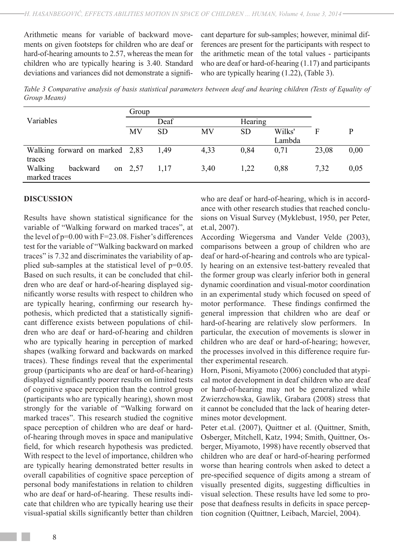Arithmetic means for variable of backward movements on given footsteps for children who are deaf or hard-of-hearing amounts to 2.57, whereas the mean for children who are typically hearing is 3.40. Standard deviations and variances did not demonstrate a significant departure for sub-samples; however, minimal differences are present for the participants with respect to the arithmetic mean of the total values - participants who are deaf or hard-of-hearing (1.17) and participants who are typically hearing  $(1.22)$ , *(Table 3)*.

*Table 3 Comparative analysis of basis statistical parameters between deaf and hearing children (Tests of Equality of Group Means)*

|                                | Group   |           |           |           |        |       |      |
|--------------------------------|---------|-----------|-----------|-----------|--------|-------|------|
| Variables                      | Deaf    |           | Hearing   |           |        |       |      |
|                                | MV      | <b>SD</b> | <b>MV</b> | <b>SD</b> | Wilks' | F     | D    |
|                                |         |           |           |           | Lambda |       |      |
| Walking forward on marked 2,83 |         | 1.49      | 4,33      | 0.84      | 0.71   | 23,08 | 0,00 |
| traces                         |         |           |           |           |        |       |      |
| Walking<br>backward            | on 2,57 | 1,17      | 3,40      | 1,22      | 0,88   | 7,32  | 0,05 |
| marked traces                  |         |           |           |           |        |       |      |

## **DISCUSSION**

Results have shown statistical significance for the variable of "Walking forward on marked traces", at the level of  $p=0.00$  with  $F=23.08$ . Fisher's differences test for the variable of "Walking backward on marked traces" is 7.32 and discriminates the variability of applied sub-samples at the statistical level of p=0.05. Based on such results, it can be concluded that children who are deaf or hard-of-hearing displayed significantly worse results with respect to children who are typically hearing, confirming our research hypothesis, which predicted that a statistically significant difference exists between populations of children who are deaf or hard-of-hearing and children who are typically hearing in perception of marked shapes (walking forward and backwards on marked traces). These findings reveal that the experimental group (participants who are deaf or hard-of-hearing) displayed significantly poorer results on limited tests of cognitive space perception than the control group (participants who are typically hearing), shown most strongly for the variable of "Walking forward on marked traces". This research studied the cognitive space perception of children who are deaf or hardof-hearing through moves in space and manipulative field, for which research hypothesis was predicted. With respect to the level of importance, children who are typically hearing demonstrated better results in overall capabilities of cognitive space perception of personal body manifestations in relation to children who are deaf or hard-of-hearing. These results indicate that children who are typically hearing use their visual-spatial skills significantly better than children

who are deaf or hard-of-hearing, which is in accordance with other research studies that reached conclusions on Visual Survey (Myklebust, 1950, per Peter, et.al, 2007).

According Wiegersma and Vander Velde (2003), comparisons between a group of children who are deaf or hard-of-hearing and controls who are typically hearing on an extensive test-battery revealed that the former group was clearly inferior both in general dynamic coordination and visual-motor coordination in an experimental study which focused on speed of motor performance. These findings confirmed the general impression that children who are deaf or hard-of-hearing are relatively slow performers. In particular, the execution of movements is slower in children who are deaf or hard-of-hearing; however, the processes involved in this difference require further experimental research.

Horn, Pisoni, Miyamoto (2006) concluded that atypical motor development in deaf children who are deaf or hard-of-hearing may not be generalized while Zwierzchowska, Gawlik, Grabara (2008) stress that it cannot be concluded that the lack of hearing determines motor development.

Peter et.al. (2007), Quittner et al. (Quittner, Smith, Osberger, Mitchell, Katz, 1994; Smith, Quittner, Osberger, Miyamoto, 1998) have recently observed that children who are deaf or hard-of-hearing performed worse than hearing controls when asked to detect a pre-specified sequence of digits among a stream of visually presented digits, suggesting difficulties in visual selection. These results have led some to propose that deafness results in deficits in space perception cognition (Quittner, Leibach, Marciel, 2004).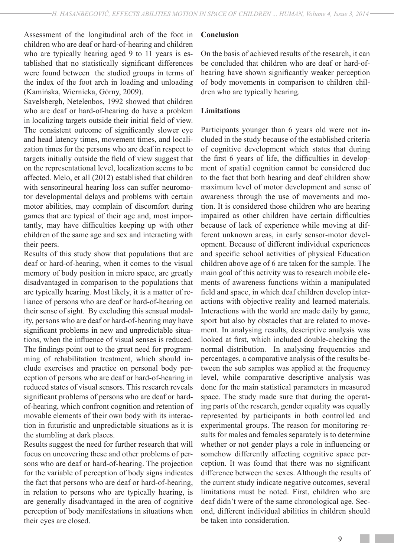Assessment of the longitudinal arch of the foot in children who are deaf or hard-of-hearing and children who are typically hearing aged 9 to 11 years is established that no statistically significant differences were found between the studied groups in terms of the index of the foot arch in loading and unloading (Kamińska, Wiernicka, Górny, 2009).

Savelsbergh, Netelenbos, 1992 showed that children who are deaf or hard-of-hearing do have a problem in localizing targets outside their initial field of view. The consistent outcome of significantly slower eye and head latency times, movement times, and localization times for the persons who are deaf in respect to targets initially outside the field of view suggest that on the representational level, localization seems to be affected. Melo, et all (2012) established that children with sensorineural hearing loss can suffer neuromotor developmental delays and problems with certain motor abilities, may complain of discomfort during games that are typical of their age and, most importantly, may have difficulties keeping up with other children of the same age and sex and interacting with their peers.

Results of this study show that populations that are deaf or hard-of-hearing, when it comes to the visual memory of body position in micro space, are greatly disadvantaged in comparison to the populations that are typically hearing. Most likely, it is a matter of reliance of persons who are deaf or hard-of-hearing on their sense of sight. By excluding this sensual modality, persons who are deaf or hard-of-hearing may have significant problems in new and unpredictable situations, when the influence of visual senses is reduced. The findings point out to the great need for programming of rehabilitation treatment, which should include exercises and practice on personal body perception of persons who are deaf or hard-of-hearing in reduced states of visual sensors. This research reveals significant problems of persons who are deaf or hardof-hearing, which confront cognition and retention of movable elements of their own body with its interaction in futuristic and unpredictable situations as it is the stumbling at dark places.

Results suggest the need for further research that will focus on uncovering these and other problems of persons who are deaf or hard-of-hearing. The projection for the variable of perception of body signs indicates the fact that persons who are deaf or hard-of-hearing, in relation to persons who are typically hearing, is are generally disadvantaged in the area of cognitive perception of body manifestations in situations when their eyes are closed.

## **Conclusion**

On the basis of achieved results of the research, it can be concluded that children who are deaf or hard-ofhearing have shown significantly weaker perception of body movements in comparison to children children who are typically hearing.

## **Limitations**

Participants younger than 6 years old were not included in the study because of the established criteria of cognitive development which states that during the first 6 years of life, the difficulties in development of spatial cognition cannot be considered due to the fact that both hearing and deaf children show maximum level of motor development and sense of awareness through the use of movements and motion. It is considered those children who are hearing impaired as other children have certain difficulties because of lack of experience while moving at different unknown areas, in early sensor-motor development. Because of different individual experiences and specific school activities of physical Education children above age of 6 are taken for the sample. The main goal of this activity was to research mobile elements of awareness functions within a manipulated field and space, in which deaf children develop interactions with objective reality and learned materials. Interactions with the world are made daily by game, sport but also by obstacles that are related to movement. In analysing results, descriptive analysis was looked at first, which included double-checking the normal distribution. In analysing frequencies and percentages, a comparative analysis of the results between the sub samples was applied at the frequency level, while comparative descriptive analysis was done for the main statistical parameters in measured space. The study made sure that during the operating parts of the research, gender equality was equally represented by participants in both controlled and experimental groups. The reason for monitoring results for males and females separately is to determine whether or not gender plays a role in influencing or somehow differently affecting cognitive space perception. It was found that there was no significant difference between the sexes. Although the results of the current study indicate negative outcomes, several limitations must be noted. First, children who are deaf didn't were of the same chronological age. Second, different individual abilities in children should be taken into consideration.